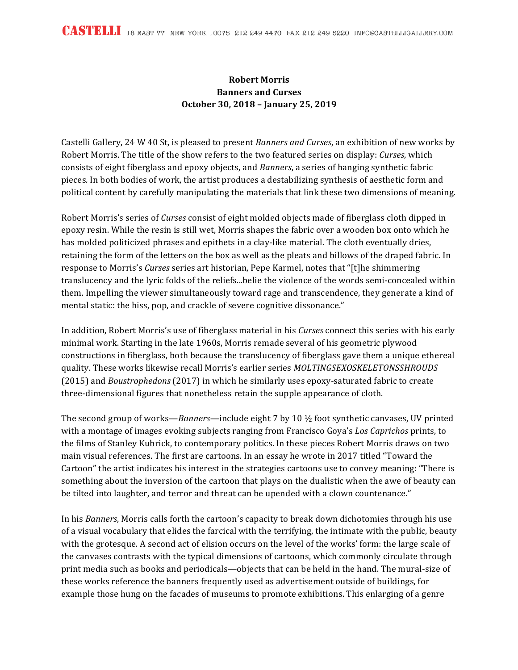## **Robert Morris Banners and Curses October 30, 2018 – January 25, 2019**

Castelli Gallery, 24 W 40 St, is pleased to present *Banners and Curses*, an exhibition of new works by Robert Morris. The title of the show refers to the two featured series on display: *Curses*, which consists of eight fiberglass and epoxy objects, and *Banners*, a series of hanging synthetic fabric pieces. In both bodies of work, the artist produces a destabilizing synthesis of aesthetic form and political content by carefully manipulating the materials that link these two dimensions of meaning.

Robert Morris's series of *Curses* consist of eight molded objects made of fiberglass cloth dipped in epoxy resin. While the resin is still wet, Morris shapes the fabric over a wooden box onto which he has molded politicized phrases and epithets in a clay-like material. The cloth eventually dries, retaining the form of the letters on the box as well as the pleats and billows of the draped fabric. In response to Morris's *Curses* series art historian, Pepe Karmel, notes that "[t]he shimmering translucency and the lyric folds of the reliefs...belie the violence of the words semi-concealed within them. Impelling the viewer simultaneously toward rage and transcendence, they generate a kind of mental static: the hiss, pop, and crackle of severe cognitive dissonance."

In addition, Robert Morris's use of fiberglass material in his *Curses* connect this series with his early minimal work. Starting in the late 1960s, Morris remade several of his geometric plywood constructions in fiberglass, both because the translucency of fiberglass gave them a unique ethereal quality. These works likewise recall Morris's earlier series *MOLTINGSEXOSKELETONSSHROUDS* (2015) and *Boustrophedons* (2017) in which he similarly uses epoxy-saturated fabric to create three-dimensional figures that nonetheless retain the supple appearance of cloth.

The second group of works—*Banners*—include eight 7 by 10  $\frac{1}{2}$  foot synthetic canvases, UV printed with a montage of images evoking subjects ranging from Francisco Goya's *Los Caprichos* prints, to the films of Stanley Kubrick, to contemporary politics. In these pieces Robert Morris draws on two main visual references. The first are cartoons. In an essay he wrote in 2017 titled "Toward the Cartoon" the artist indicates his interest in the strategies cartoons use to convey meaning: "There is something about the inversion of the cartoon that plays on the dualistic when the awe of beauty can be tilted into laughter, and terror and threat can be upended with a clown countenance."

In his *Banners*, Morris calls forth the cartoon's capacity to break down dichotomies through his use of a visual vocabulary that elides the farcical with the terrifying, the intimate with the public, beauty with the grotesque. A second act of elision occurs on the level of the works' form: the large scale of the canvases contrasts with the typical dimensions of cartoons, which commonly circulate through print media such as books and periodicals—objects that can be held in the hand. The mural-size of these works reference the banners frequently used as advertisement outside of buildings, for example those hung on the facades of museums to promote exhibitions. This enlarging of a genre